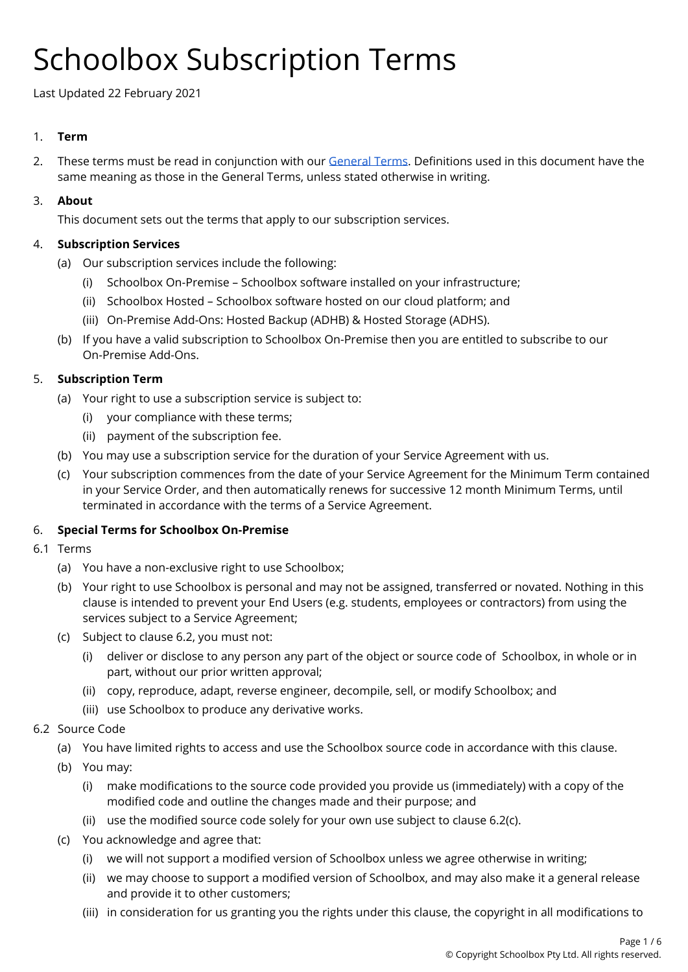# Schoolbox Subscription Terms

Last Updated 22 February 2021

## 1. **Term**

2. These terms must be read in conjunction with our [General](https://schoolbox.com.au/legal/general-terms) Terms. Definitions used in this document have the same meaning as those in the General Terms, unless stated otherwise in writing.

## 3. **About**

This document sets out the terms that apply to our subscription services.

## 4. **Subscription Services**

- (a) Our subscription services include the following:
	- (i) Schoolbox On-Premise Schoolbox software installed on your infrastructure;
	- (ii) Schoolbox Hosted Schoolbox software hosted on our cloud platform; and
	- (iii) On-Premise Add-Ons: Hosted Backup (ADHB) & Hosted Storage (ADHS).
- (b) If you have a valid subscription to Schoolbox On-Premise then you are entitled to subscribe to our On-Premise Add-Ons.

## 5. **Subscription Term**

- (a) Your right to use a subscription service is subject to:
	- (i) your compliance with these terms;
	- (ii) payment of the subscription fee.
- (b) You may use a subscription service for the duration of your Service Agreement with us.
- (c) Your subscription commences from the date of your Service Agreement for the Minimum Term contained in your Service Order, and then automatically renews for successive 12 month Minimum Terms, until terminated in accordance with the terms of a Service Agreement.

# 6. **Special Terms for Schoolbox On-Premise**

- 6.1 Terms
	- (a) You have a non-exclusive right to use Schoolbox;
	- (b) Your right to use Schoolbox is personal and may not be assigned, transferred or novated. Nothing in this clause is intended to prevent your End Users (e.g. students, employees or contractors) from using the services subject to a Service Agreement;
	- (c) Subject to clause 6.2, you must not:
		- (i) deliver or disclose to any person any part of the object or source code of Schoolbox, in whole or in part, without our prior written approval;
		- (ii) copy, reproduce, adapt, reverse engineer, decompile, sell, or modify Schoolbox; and
		- (iii) use Schoolbox to produce any derivative works.

#### 6.2 Source Code

- (a) You have limited rights to access and use the Schoolbox source code in accordance with this clause.
- (b) You may:
	- (i) make modifications to the source code provided you provide us (immediately) with a copy of the modified code and outline the changes made and their purpose; and
	- (ii) use the modified source code solely for your own use subject to clause 6.2(c).
- (c) You acknowledge and agree that:
	- (i) we will not support a modified version of Schoolbox unless we agree otherwise in writing;
	- (ii) we may choose to support a modified version of Schoolbox, and may also make it a general release and provide it to other customers;
	- (iii) in consideration for us granting you the rights under this clause, the copyright in all modifications to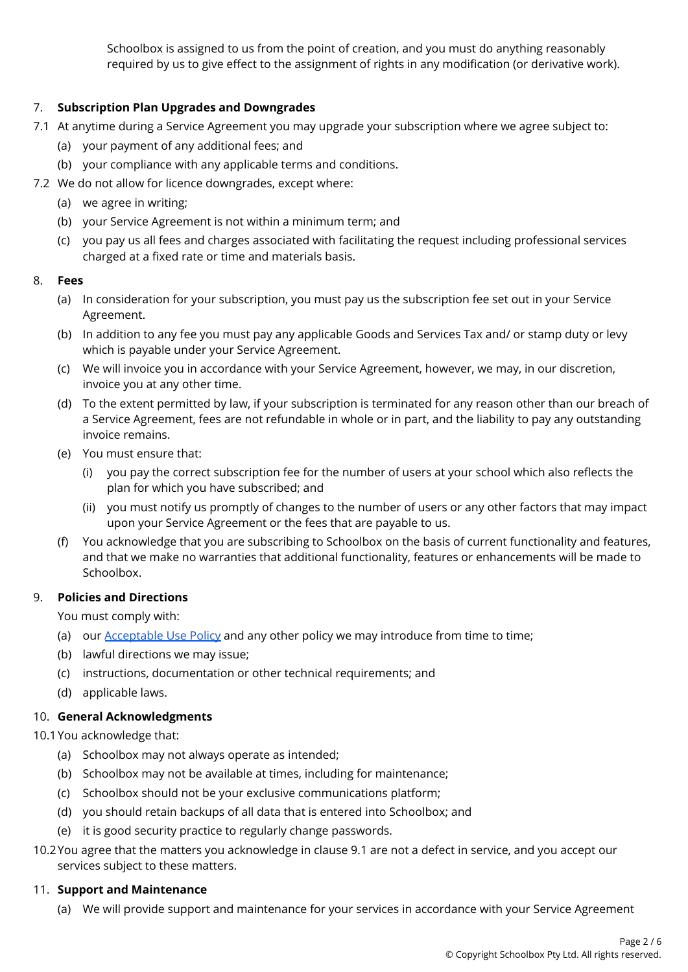Schoolbox is assigned to us from the point of creation, and you must do anything reasonably required by us to give effect to the assignment of rights in any modification (or derivative work).

# 7. **Subscription Plan Upgrades and Downgrades**

- 7.1 At anytime during a Service Agreement you may upgrade your subscription where we agree subject to:
	- (a) your payment of any additional fees; and
	- (b) your compliance with any applicable terms and conditions.
- 7.2 We do not allow for licence downgrades, except where:
	- (a) we agree in writing;
	- (b) your Service Agreement is not within a minimum term; and
	- (c) you pay us all fees and charges associated with facilitating the request including professional services charged at a fixed rate or time and materials basis.

#### 8. **Fees**

- (a) In consideration for your subscription, you must pay us the subscription fee set out in your Service Agreement.
- (b) In addition to any fee you must pay any applicable Goods and Services Tax and/ or stamp duty or levy which is payable under your Service Agreement.
- (c) We will invoice you in accordance with your Service Agreement, however, we may, in our discretion, invoice you at any other time.
- (d) To the extent permitted by law, if your subscription is terminated for any reason other than our breach of a Service Agreement, fees are not refundable in whole or in part, and the liability to pay any outstanding invoice remains.
- (e) You must ensure that:
	- (i) you pay the correct subscription fee for the number of users at your school which also reflects the plan for which you have subscribed; and
	- (ii) you must notify us promptly of changes to the number of users or any other factors that may impact upon your Service Agreement or the fees that are payable to us.
- (f) You acknowledge that you are subscribing to Schoolbox on the basis of current functionality and features, and that we make no warranties that additional functionality, features or enhancements will be made to Schoolbox.

#### 9. **Policies and Directions**

You must comply with:

- (a) our **[Acceptable](https://schoolbox.com.au/legal/acceptable-use-policy) Use Policy** and any other policy we may introduce from time to time;
- (b) lawful directions we may issue;
- (c) instructions, documentation or other technical requirements; and
- (d) applicable laws.

#### 10. **General Acknowledgments**

10.1You acknowledge that:

- (a) Schoolbox may not always operate as intended;
- (b) Schoolbox may not be available at times, including for maintenance;
- (c) Schoolbox should not be your exclusive communications platform;
- (d) you should retain backups of all data that is entered into Schoolbox; and
- (e) it is good security practice to regularly change passwords.
- 10.2You agree that the matters you acknowledge in clause 9.1 are not a defect in service, and you accept our services subject to these matters.

# 11. **Support and Maintenance**

(a) We will provide support and maintenance for your services in accordance with your Service Agreement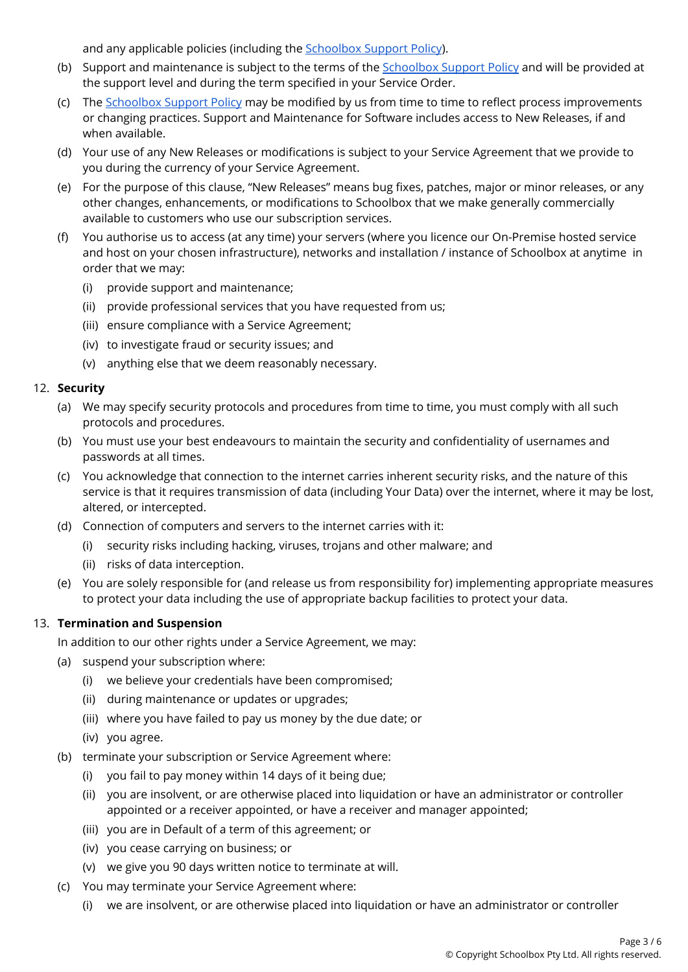and any applicable policies (including the **[Schoolbox](https://help.schoolbox.com.au/homepage/539) Support Policy**).

- (b) Support and maintenance is subject to the terms of the [Schoolbox](https://help.schoolbox.com.au/homepage/539) Support Policy and will be provided at the support level and during the term specified in your Service Order.
- (c) The [Schoolbox](https://help.schoolbox.com.au/homepage/539) Support Policy may be modified by us from time to time to reflect process improvements or changing practices. Support and Maintenance for Software includes access to New Releases, if and when available.
- (d) Your use of any New Releases or modifications is subject to your Service Agreement that we provide to you during the currency of your Service Agreement.
- (e) For the purpose of this clause, "New Releases" means bug fixes, patches, major or minor releases, or any other changes, enhancements, or modifications to Schoolbox that we make generally commercially available to customers who use our subscription services.
- (f) You authorise us to access (at any time) your servers (where you licence our On-Premise hosted service and host on your chosen infrastructure), networks and installation / instance of Schoolbox at anytime in order that we may:
	- (i) provide support and maintenance;
	- (ii) provide professional services that you have requested from us;
	- (iii) ensure compliance with a Service Agreement;
	- (iv) to investigate fraud or security issues; and
	- (v) anything else that we deem reasonably necessary.

#### 12. **Security**

- (a) We may specify security protocols and procedures from time to time, you must comply with all such protocols and procedures.
- (b) You must use your best endeavours to maintain the security and confidentiality of usernames and passwords at all times.
- (c) You acknowledge that connection to the internet carries inherent security risks, and the nature of this service is that it requires transmission of data (including Your Data) over the internet, where it may be lost, altered, or intercepted.
- (d) Connection of computers and servers to the internet carries with it:
	- (i) security risks including hacking, viruses, trojans and other malware; and
	- (ii) risks of data interception.
- (e) You are solely responsible for (and release us from responsibility for) implementing appropriate measures to protect your data including the use of appropriate backup facilities to protect your data.

#### 13. **Termination and Suspension**

In addition to our other rights under a Service Agreement, we may:

- (a) suspend your subscription where:
	- (i) we believe your credentials have been compromised;
	- (ii) during maintenance or updates or upgrades;
	- (iii) where you have failed to pay us money by the due date; or
	- (iv) you agree.
- (b) terminate your subscription or Service Agreement where:
	- (i) you fail to pay money within 14 days of it being due;
	- (ii) you are insolvent, or are otherwise placed into liquidation or have an administrator or controller appointed or a receiver appointed, or have a receiver and manager appointed;
	- (iii) you are in Default of a term of this agreement; or
	- (iv) you cease carrying on business; or
	- (v) we give you 90 days written notice to terminate at will.
- (c) You may terminate your Service Agreement where:
	- (i) we are insolvent, or are otherwise placed into liquidation or have an administrator or controller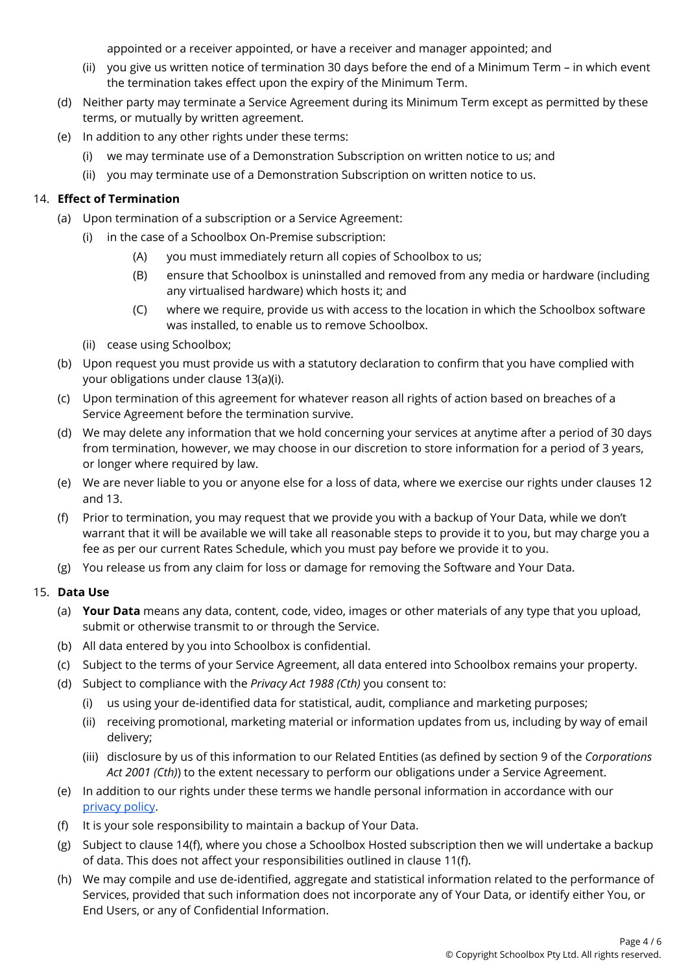appointed or a receiver appointed, or have a receiver and manager appointed; and

- (ii) you give us written notice of termination 30 days before the end of a Minimum Term in which event the termination takes effect upon the expiry of the Minimum Term.
- (d) Neither party may terminate a Service Agreement during its Minimum Term except as permitted by these terms, or mutually by written agreement.
- (e) In addition to any other rights under these terms:
	- (i) we may terminate use of a Demonstration Subscription on written notice to us; and
	- (ii) you may terminate use of a Demonstration Subscription on written notice to us.

## 14. **Effect of Termination**

- (a) Upon termination of a subscription or a Service Agreement:
	- (i) in the case of a Schoolbox On-Premise subscription:
		- (A) you must immediately return all copies of Schoolbox to us;
		- (B) ensure that Schoolbox is uninstalled and removed from any media or hardware (including any virtualised hardware) which hosts it; and
		- (C) where we require, provide us with access to the location in which the Schoolbox software was installed, to enable us to remove Schoolbox.
	- (ii) cease using Schoolbox;
- (b) Upon request you must provide us with a statutory declaration to confirm that you have complied with your obligations under clause 13(a)(i).
- (c) Upon termination of this agreement for whatever reason all rights of action based on breaches of a Service Agreement before the termination survive.
- (d) We may delete any information that we hold concerning your services at anytime after a period of 30 days from termination, however, we may choose in our discretion to store information for a period of 3 years, or longer where required by law.
- (e) We are never liable to you or anyone else for a loss of data, where we exercise our rights under clauses 12 and 13.
- (f) Prior to termination, you may request that we provide you with a backup of Your Data, while we don't warrant that it will be available we will take all reasonable steps to provide it to you, but may charge you a fee as per our current Rates Schedule, which you must pay before we provide it to you.
- (g) You release us from any claim for loss or damage for removing the Software and Your Data.

#### 15. **Data Use**

- (a) **Your Data** means any data, content, code, video, images or other materials of any type that you upload, submit or otherwise transmit to or through the Service.
- (b) All data entered by you into Schoolbox is confidential.
- (c) Subject to the terms of your Service Agreement, all data entered into Schoolbox remains your property.
- (d) Subject to compliance with the *Privacy Act 1988 (Cth)* you consent to:
	- (i) us using your de-identified data for statistical, audit, compliance and marketing purposes;
	- (ii) receiving promotional, marketing material or information updates from us, including by way of email delivery;
	- (iii) disclosure by us of this information to our Related Entities (as defined by section 9 of the *Corporations Act 2001 (Cth)*) to the extent necessary to perform our obligations under a Service Agreement.
- (e) In addition to our rights under these terms we handle personal information in accordance with our [privacy](http://schoolbox.com.au/legal/privacy-policy) policy.
- (f) It is your sole responsibility to maintain a backup of Your Data.
- (g) Subject to clause 14(f), where you chose a Schoolbox Hosted subscription then we will undertake a backup of data. This does not affect your responsibilities outlined in clause 11(f).
- (h) We may compile and use de-identified, aggregate and statistical information related to the performance of Services, provided that such information does not incorporate any of Your Data, or identify either You, or End Users, or any of Confidential Information.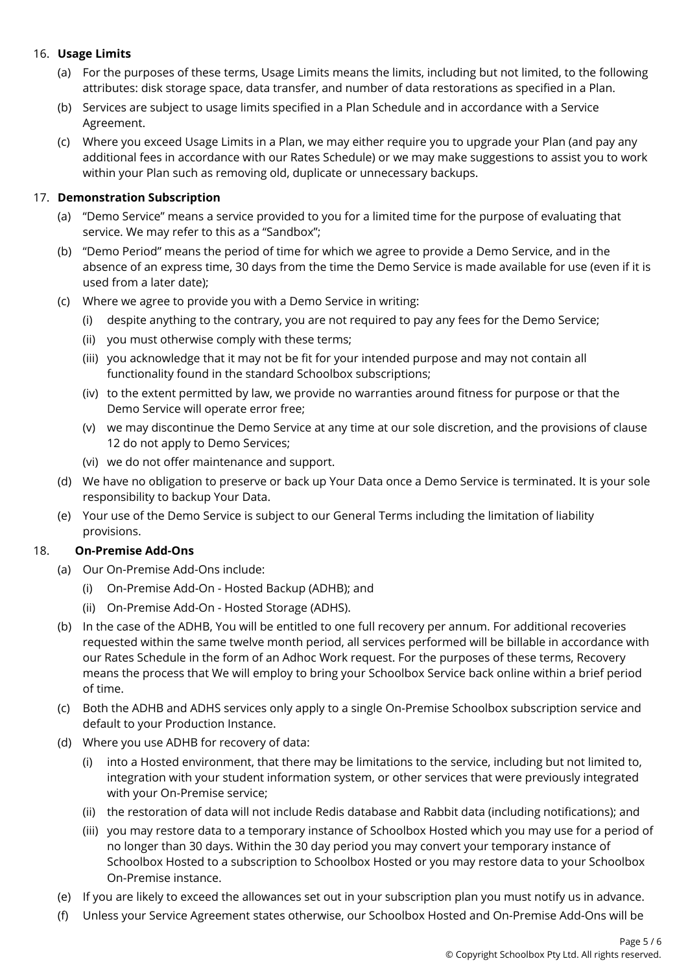## 16. **Usage Limits**

- (a) For the purposes of these terms, Usage Limits means the limits, including but not limited, to the following attributes: disk storage space, data transfer, and number of data restorations as specified in a Plan.
- (b) Services are subject to usage limits specified in a Plan Schedule and in accordance with a Service Agreement.
- (c) Where you exceed Usage Limits in a Plan, we may either require you to upgrade your Plan (and pay any additional fees in accordance with our Rates Schedule) or we may make suggestions to assist you to work within your Plan such as removing old, duplicate or unnecessary backups.

#### 17. **Demonstration Subscription**

- (a) "Demo Service" means a service provided to you for a limited time for the purpose of evaluating that service. We may refer to this as a "Sandbox";
- (b) "Demo Period" means the period of time for which we agree to provide a Demo Service, and in the absence of an express time, 30 days from the time the Demo Service is made available for use (even if it is used from a later date);
- (c) Where we agree to provide you with a Demo Service in writing:
	- (i) despite anything to the contrary, you are not required to pay any fees for the Demo Service;
	- (ii) you must otherwise comply with these terms;
	- (iii) you acknowledge that it may not be fit for your intended purpose and may not contain all functionality found in the standard Schoolbox subscriptions;
	- (iv) to the extent permitted by law, we provide no warranties around fitness for purpose or that the Demo Service will operate error free;
	- (v) we may discontinue the Demo Service at any time at our sole discretion, and the provisions of clause 12 do not apply to Demo Services;
	- (vi) we do not offer maintenance and support.
- (d) We have no obligation to preserve or back up Your Data once a Demo Service is terminated. It is your sole responsibility to backup Your Data.
- (e) Your use of the Demo Service is subject to our General Terms including the limitation of liability provisions.

#### 18. **On-Premise Add-Ons**

- (a) Our On-Premise Add-Ons include:
	- (i) On-Premise Add-On Hosted Backup (ADHB); and
	- (ii) On-Premise Add-On Hosted Storage (ADHS).
- (b) In the case of the ADHB, You will be entitled to one full recovery per annum. For additional recoveries requested within the same twelve month period, all services performed will be billable in accordance with our Rates Schedule in the form of an Adhoc Work request. For the purposes of these terms, Recovery means the process that We will employ to bring your Schoolbox Service back online within a brief period of time.
- (c) Both the ADHB and ADHS services only apply to a single On-Premise Schoolbox subscription service and default to your Production Instance.
- (d) Where you use ADHB for recovery of data:
	- (i) into a Hosted environment, that there may be limitations to the service, including but not limited to, integration with your student information system, or other services that were previously integrated with your On-Premise service;
	- (ii) the restoration of data will not include Redis database and Rabbit data (including notifications); and
	- (iii) you may restore data to a temporary instance of Schoolbox Hosted which you may use for a period of no longer than 30 days. Within the 30 day period you may convert your temporary instance of Schoolbox Hosted to a subscription to Schoolbox Hosted or you may restore data to your Schoolbox On-Premise instance.
- (e) If you are likely to exceed the allowances set out in your subscription plan you must notify us in advance.
- (f) Unless your Service Agreement states otherwise, our Schoolbox Hosted and On-Premise Add-Ons will be